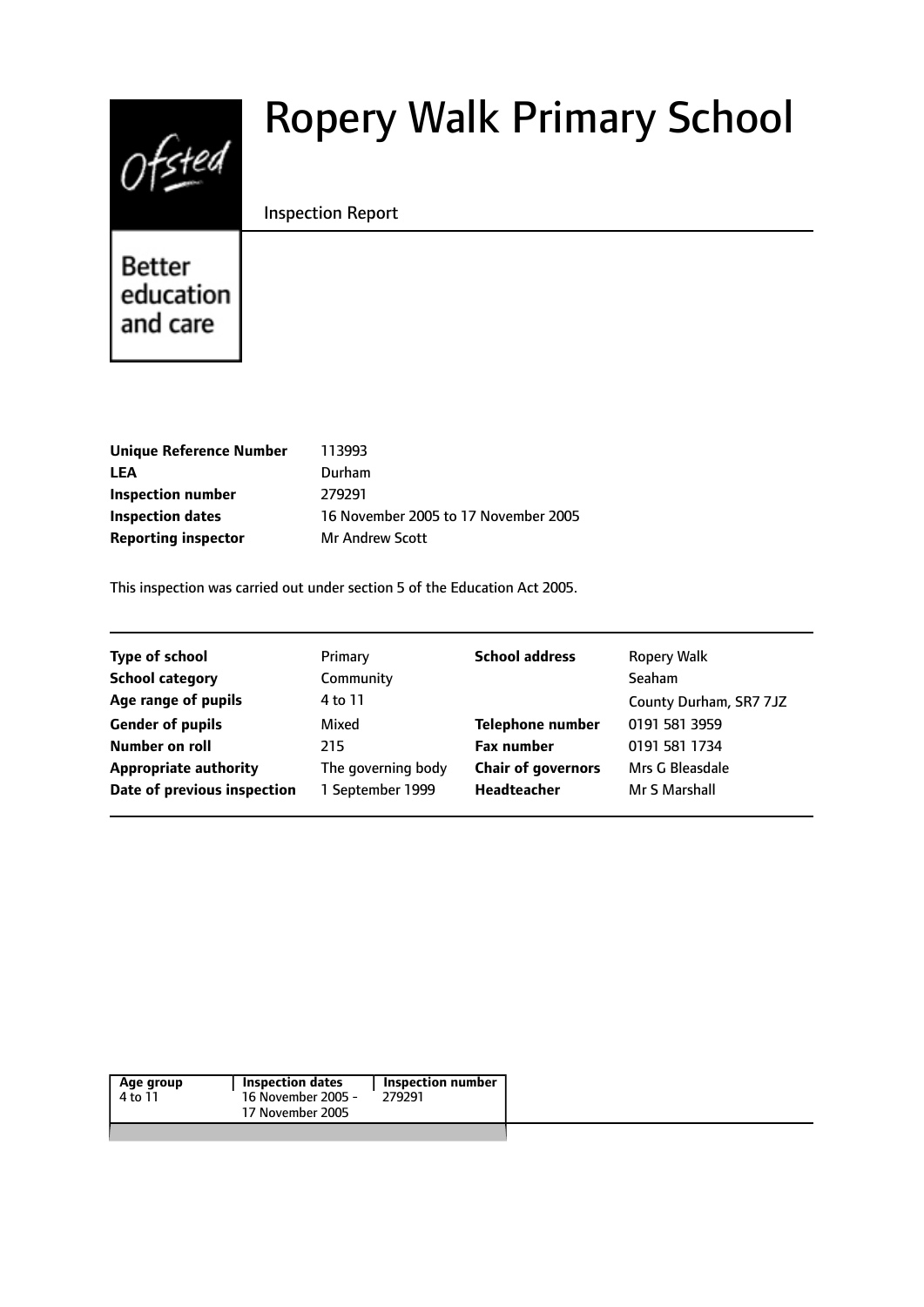# Ofsted

# Ropery Walk Primary School

#### Inspection Report

Better education and care

| <b>Unique Reference Number</b> | 113993                               |
|--------------------------------|--------------------------------------|
| LEA                            | Durham                               |
| Inspection number              | 279291                               |
| <b>Inspection dates</b>        | 16 November 2005 to 17 November 2005 |
| <b>Reporting inspector</b>     | <b>Mr Andrew Scott</b>               |
|                                |                                      |

This inspection was carried out under section 5 of the Education Act 2005.

| <b>Type of school</b>        | Primary            | <b>School address</b>     | <b>Ropery Walk</b>     |
|------------------------------|--------------------|---------------------------|------------------------|
| <b>School category</b>       | Community          |                           | <b>Seaham</b>          |
| Age range of pupils          | 4 to 11            |                           | County Durham, SR7 7JZ |
| <b>Gender of pupils</b>      | Mixed              | <b>Telephone number</b>   | 0191 581 3959          |
| Number on roll               | 215                | <b>Fax number</b>         | 0191 581 1734          |
| <b>Appropriate authority</b> | The governing body | <b>Chair of governors</b> | Mrs G Bleasdale        |
| Date of previous inspection  | 1 September 1999   | Headteacher               | Mr S Marshall          |
|                              |                    |                           |                        |

| Age group | <b>Inspection dates</b> | Inspection number |  |
|-----------|-------------------------|-------------------|--|
| 4 to 11   | 16 November 2005 -      | 279291            |  |
|           | 17 November 2005        |                   |  |
|           |                         |                   |  |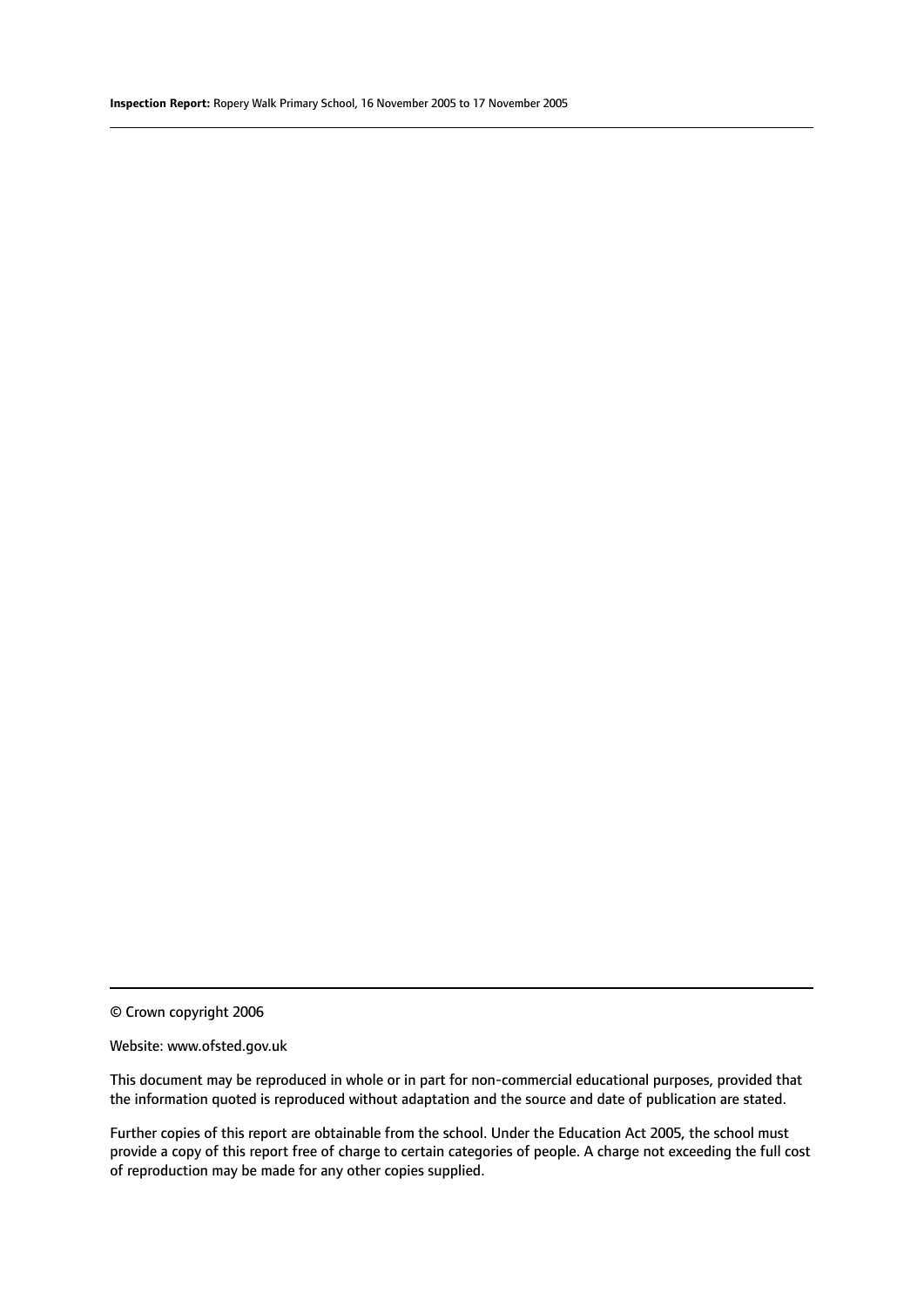© Crown copyright 2006

#### Website: www.ofsted.gov.uk

This document may be reproduced in whole or in part for non-commercial educational purposes, provided that the information quoted is reproduced without adaptation and the source and date of publication are stated.

Further copies of this report are obtainable from the school. Under the Education Act 2005, the school must provide a copy of this report free of charge to certain categories of people. A charge not exceeding the full cost of reproduction may be made for any other copies supplied.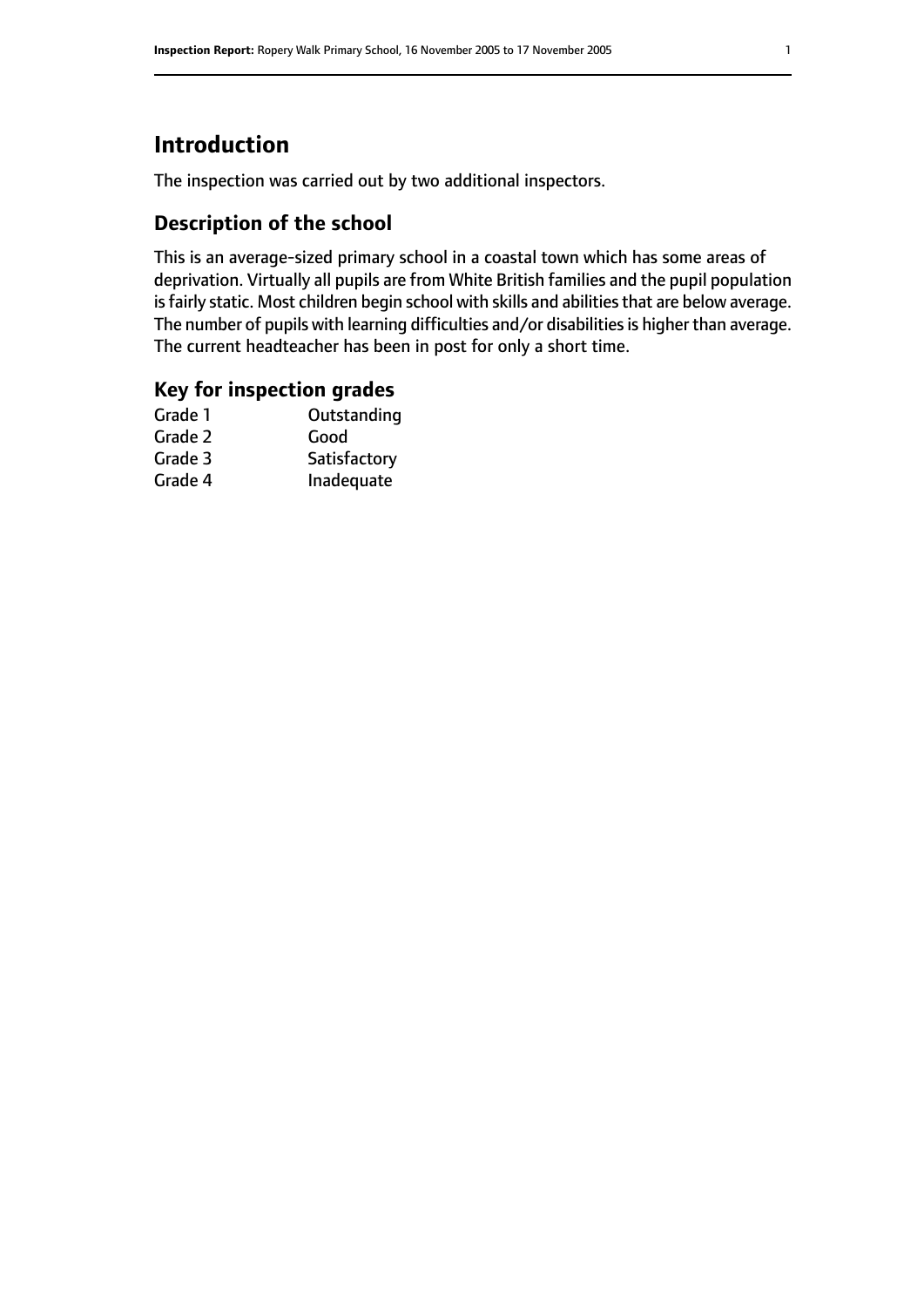# **Introduction**

The inspection was carried out by two additional inspectors.

#### **Description of the school**

This is an average-sized primary school in a coastal town which has some areas of deprivation. Virtually all pupils are from White British families and the pupil population is fairly static. Most children begin school with skills and abilities that are below average. The number of pupils with learning difficulties and/or disabilities is higher than average. The current headteacher has been in post for only a short time.

#### **Key for inspection grades**

| Good         |
|--------------|
|              |
| Satisfactory |
| Inadequate   |
|              |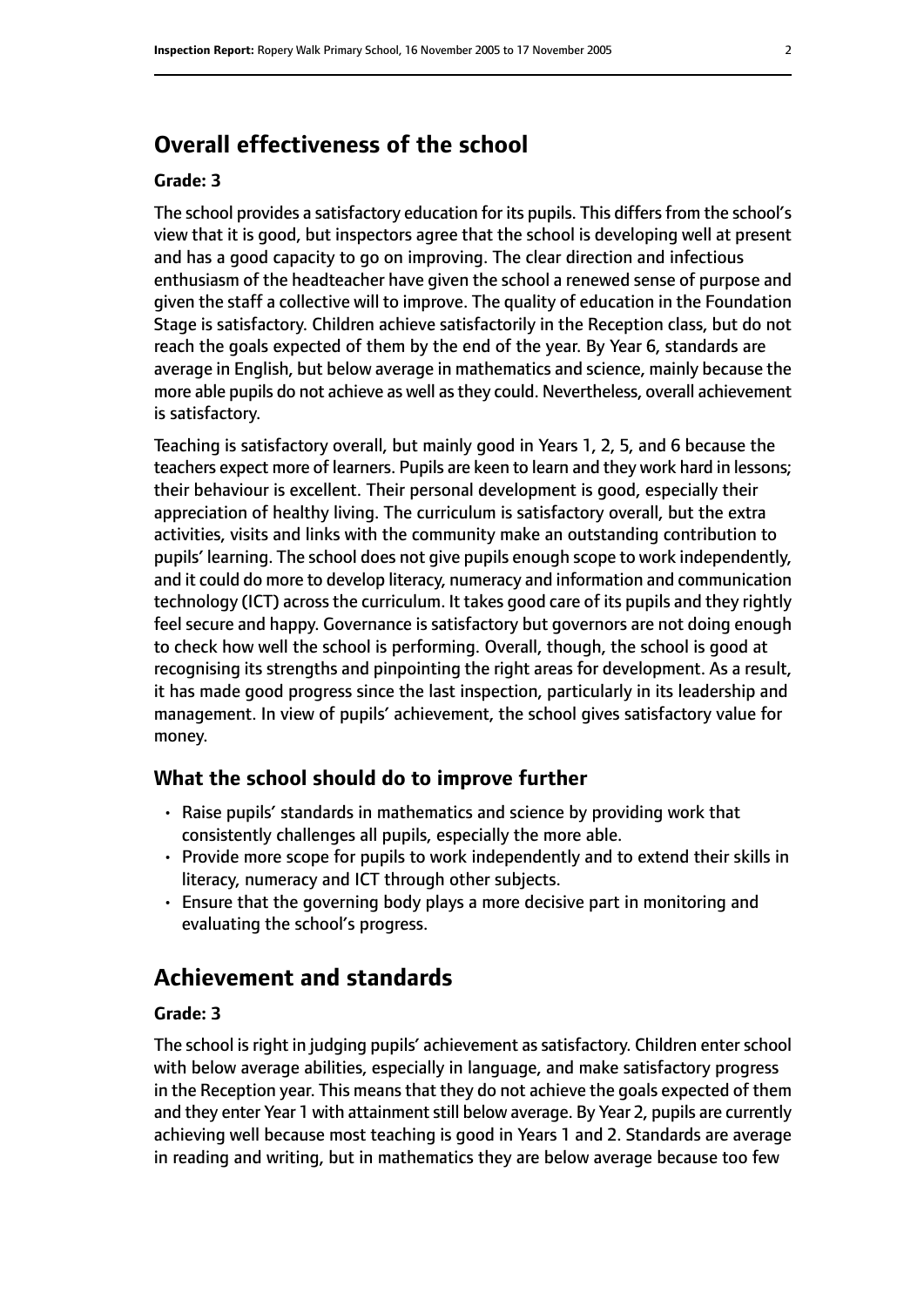### **Overall effectiveness of the school**

#### **Grade: 3**

The school provides a satisfactory education for its pupils. This differs from the school's view that it is good, but inspectors agree that the school is developing well at present and has a good capacity to go on improving. The clear direction and infectious enthusiasm of the headteacher have given the school a renewed sense of purpose and given the staff a collective will to improve. The quality of education in the Foundation Stage is satisfactory. Children achieve satisfactorily in the Reception class, but do not reach the goals expected of them by the end of the year. By Year 6, standards are average in English, but below average in mathematics and science, mainly because the more able pupils do not achieve as well asthey could. Nevertheless, overall achievement is satisfactory.

Teaching is satisfactory overall, but mainly good in Years 1, 2, 5, and 6 because the teachers expect more of learners. Pupils are keen to learn and they work hard in lessons; their behaviour is excellent. Their personal development is good, especially their appreciation of healthy living. The curriculum is satisfactory overall, but the extra activities, visits and links with the community make an outstanding contribution to pupils' learning. The school does not give pupils enough scope to work independently, and it could do more to develop literacy, numeracy and information and communication technology (ICT) acrossthe curriculum. It takes good care of its pupils and they rightly feel secure and happy. Governance is satisfactory but governors are not doing enough to check how well the school is performing. Overall, though, the school is good at recognising its strengths and pinpointing the right areas for development. As a result, it has made good progress since the last inspection, particularly in its leadership and management. In view of pupils' achievement, the school gives satisfactory value for money.

#### **What the school should do to improve further**

- Raise pupils' standards in mathematics and science by providing work that consistently challenges all pupils, especially the more able.
- Provide more scope for pupils to work independently and to extend their skills in literacy, numeracy and ICT through other subjects.
- Ensure that the governing body plays a more decisive part in monitoring and evaluating the school's progress.

#### **Achievement and standards**

#### **Grade: 3**

The school is right in judging pupils' achievement as satisfactory. Children enter school with below average abilities, especially in language, and make satisfactory progress in the Reception year. This means that they do not achieve the goals expected of them and they enter Year 1 with attainment still below average. By Year 2, pupils are currently achieving well because most teaching is good in Years 1 and 2. Standards are average in reading and writing, but in mathematics they are below average because too few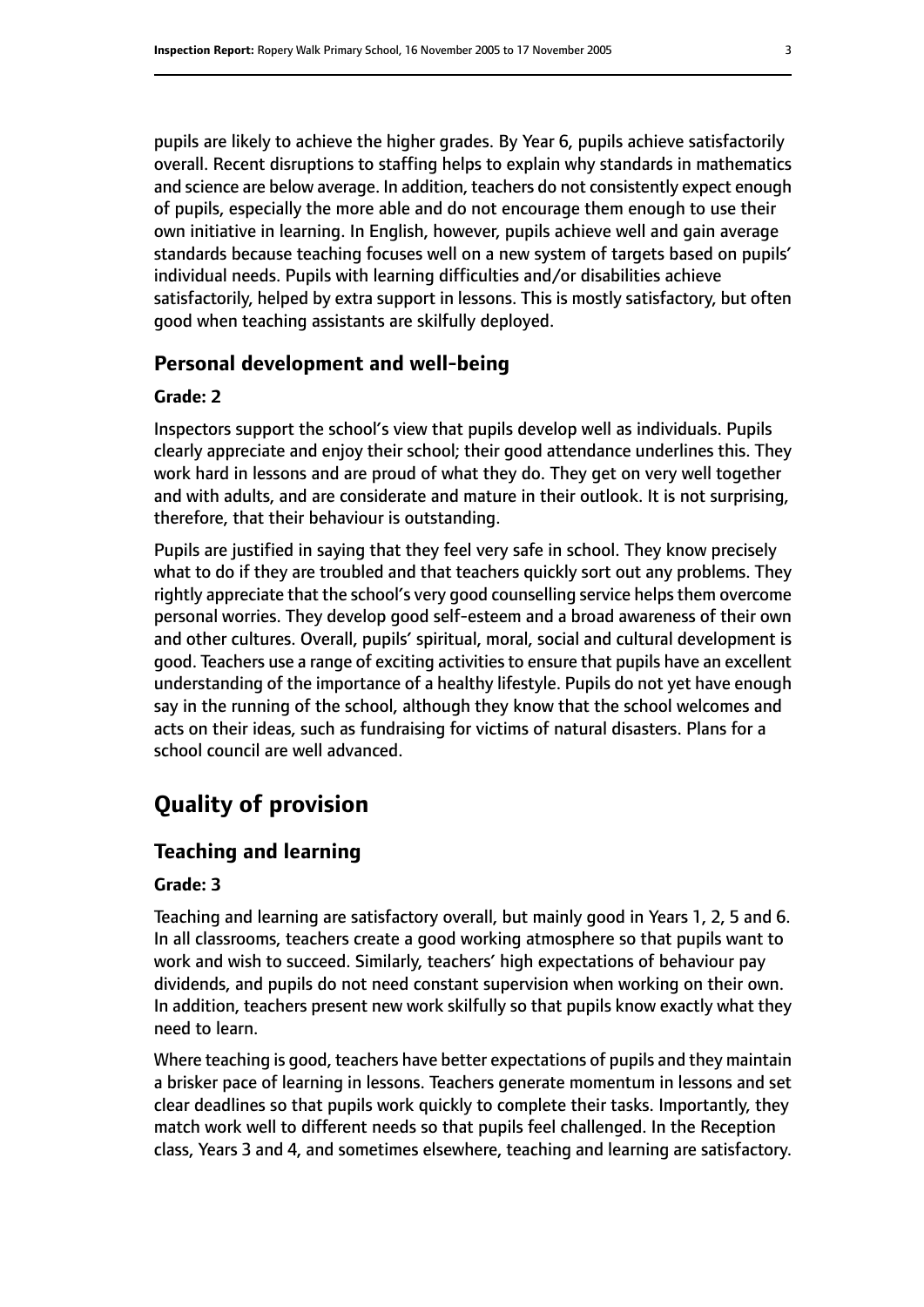pupils are likely to achieve the higher grades. By Year 6, pupils achieve satisfactorily overall. Recent disruptions to staffing helps to explain why standards in mathematics and science are below average. In addition, teachers do not consistently expect enough of pupils, especially the more able and do not encourage them enough to use their own initiative in learning. In English, however, pupils achieve well and gain average standards because teaching focuses well on a new system of targets based on pupils' individual needs. Pupils with learning difficulties and/or disabilities achieve satisfactorily, helped by extra support in lessons. This is mostly satisfactory, but often good when teaching assistants are skilfully deployed.

#### **Personal development and well-being**

#### **Grade: 2**

Inspectors support the school's view that pupils develop well as individuals. Pupils clearly appreciate and enjoy their school; their good attendance underlines this. They work hard in lessons and are proud of what they do. They get on very well together and with adults, and are considerate and mature in their outlook. It is not surprising, therefore, that their behaviour is outstanding.

Pupils are justified in saying that they feel very safe in school. They know precisely what to do if they are troubled and that teachers quickly sort out any problems. They rightly appreciate that the school's very good counselling service helps them overcome personal worries. They develop good self-esteem and a broad awareness of their own and other cultures. Overall, pupils' spiritual, moral, social and cultural development is good. Teachers use a range of exciting activities to ensure that pupils have an excellent understanding of the importance of a healthy lifestyle. Pupils do not yet have enough say in the running of the school, although they know that the school welcomes and acts on their ideas, such as fundraising for victims of natural disasters. Plans for a school council are well advanced.

# **Quality of provision**

#### **Teaching and learning**

#### **Grade: 3**

Teaching and learning are satisfactory overall, but mainly good in Years 1, 2, 5 and 6. In all classrooms, teachers create a good working atmosphere so that pupils want to work and wish to succeed. Similarly, teachers' high expectations of behaviour pay dividends, and pupils do not need constant supervision when working on their own. In addition, teachers present new work skilfully so that pupils know exactly what they need to learn.

Where teaching is good, teachers have better expectations of pupils and they maintain a brisker pace of learning in lessons. Teachers generate momentum in lessons and set clear deadlines so that pupils work quickly to complete their tasks. Importantly, they match work well to different needs so that pupils feel challenged. In the Reception class, Years 3 and 4, and sometimes elsewhere, teaching and learning are satisfactory.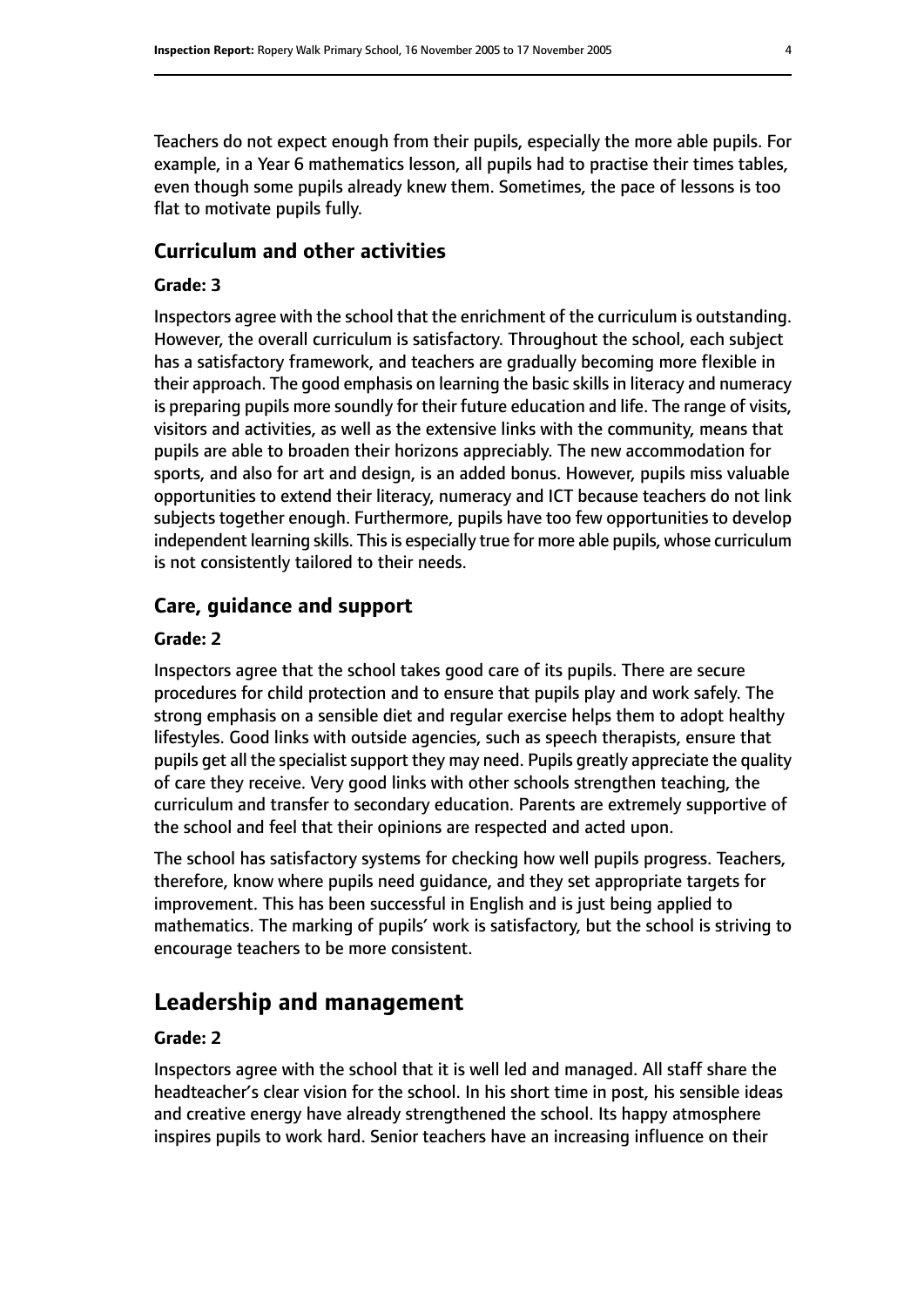Teachers do not expect enough from their pupils, especially the more able pupils. For example, in a Year 6 mathematics lesson, all pupils had to practise their times tables, even though some pupils already knew them. Sometimes, the pace of lessons is too flat to motivate pupils fully.

#### **Curriculum and other activities**

#### **Grade: 3**

Inspectors agree with the school that the enrichment of the curriculum is outstanding. However, the overall curriculum is satisfactory. Throughout the school, each subject has a satisfactory framework, and teachers are gradually becoming more flexible in their approach. The good emphasis on learning the basic skills in literacy and numeracy is preparing pupils more soundly for their future education and life. The range of visits, visitors and activities, as well as the extensive links with the community, means that pupils are able to broaden their horizons appreciably. The new accommodation for sports, and also for art and design, is an added bonus. However, pupils miss valuable opportunities to extend their literacy, numeracy and ICT because teachers do not link subjects together enough. Furthermore, pupils have too few opportunities to develop independent learning skills. This is especially true for more able pupils, whose curriculum is not consistently tailored to their needs.

#### **Care, guidance and support**

#### **Grade: 2**

Inspectors agree that the school takes good care of its pupils. There are secure procedures for child protection and to ensure that pupils play and work safely. The strong emphasis on a sensible diet and regular exercise helps them to adopt healthy lifestyles. Good links with outside agencies, such as speech therapists, ensure that pupils get all the specialist support they may need. Pupils greatly appreciate the quality of care they receive. Very good links with other schools strengthen teaching, the curriculum and transfer to secondary education. Parents are extremely supportive of the school and feel that their opinions are respected and acted upon.

The school has satisfactory systems for checking how well pupils progress. Teachers, therefore, know where pupils need guidance, and they set appropriate targets for improvement. This has been successful in English and is just being applied to mathematics. The marking of pupils' work is satisfactory, but the school is striving to encourage teachers to be more consistent.

# **Leadership and management**

#### **Grade: 2**

Inspectors agree with the school that it is well led and managed. All staff share the headteacher's clear vision for the school. In his short time in post, his sensible ideas and creative energy have already strengthened the school. Its happy atmosphere inspires pupils to work hard. Senior teachers have an increasing influence on their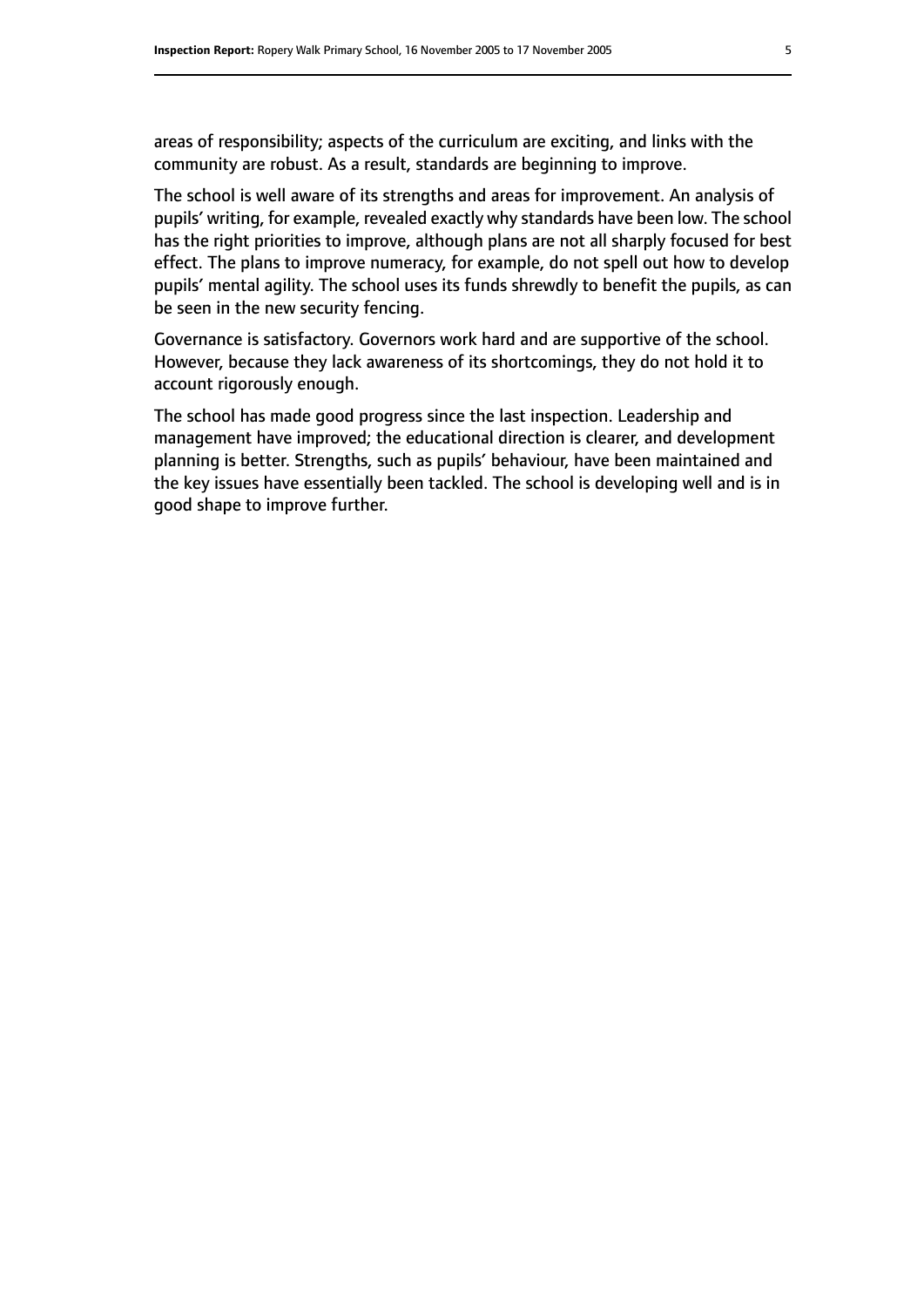areas of responsibility; aspects of the curriculum are exciting, and links with the community are robust. As a result, standards are beginning to improve.

The school is well aware of its strengths and areas for improvement. An analysis of pupils' writing, for example, revealed exactly why standards have been low. The school has the right priorities to improve, although plans are not all sharply focused for best effect. The plans to improve numeracy, for example, do not spell out how to develop pupils' mental agility. The school uses its funds shrewdly to benefit the pupils, as can be seen in the new security fencing.

Governance is satisfactory. Governors work hard and are supportive of the school. However, because they lack awareness of its shortcomings, they do not hold it to account rigorously enough.

The school has made good progress since the last inspection. Leadership and management have improved; the educational direction is clearer, and development planning is better. Strengths, such as pupils' behaviour, have been maintained and the key issues have essentially been tackled. The school is developing well and is in good shape to improve further.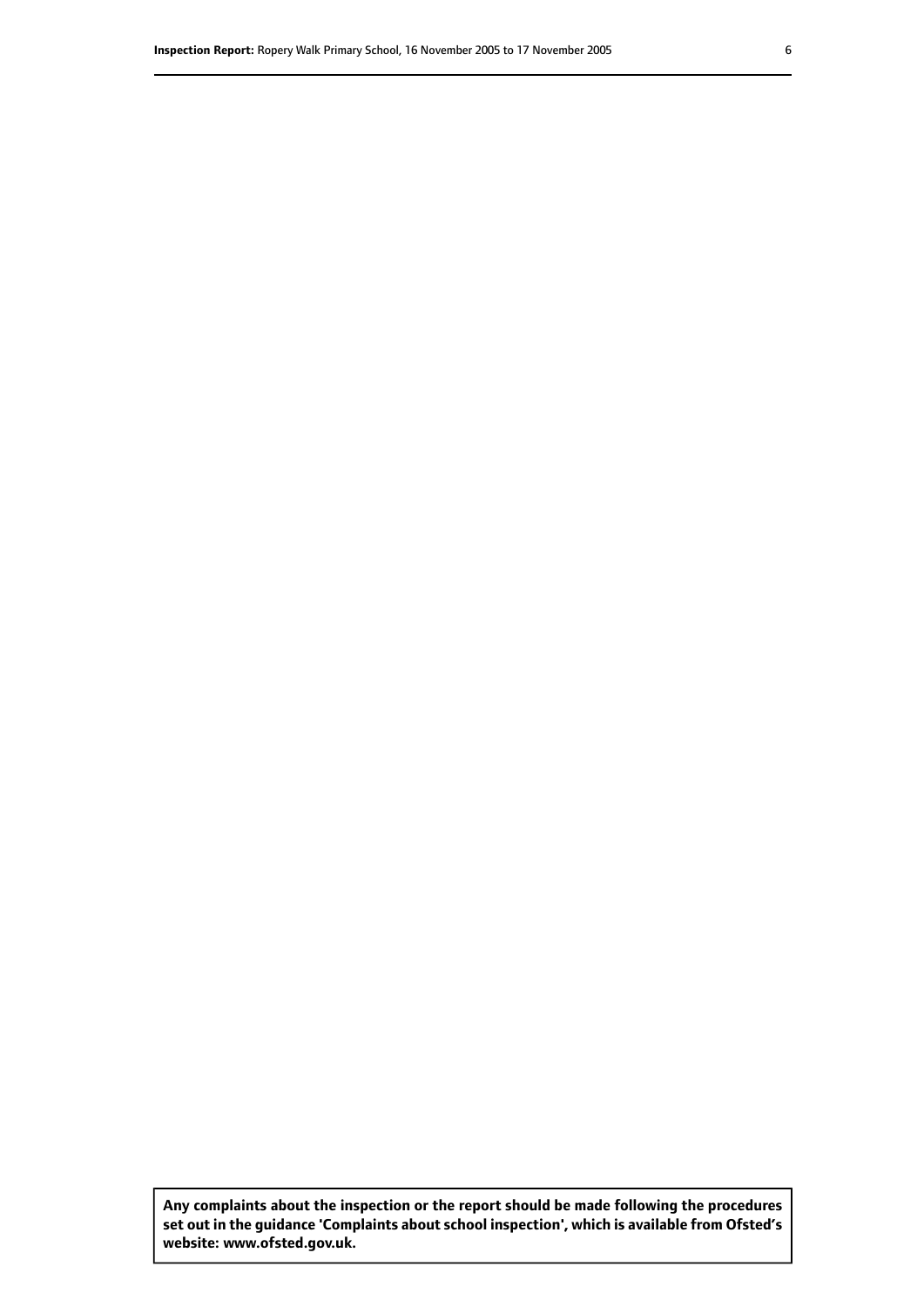**Any complaints about the inspection or the report should be made following the procedures set out inthe guidance 'Complaints about school inspection', whichis available from Ofsted's website: www.ofsted.gov.uk.**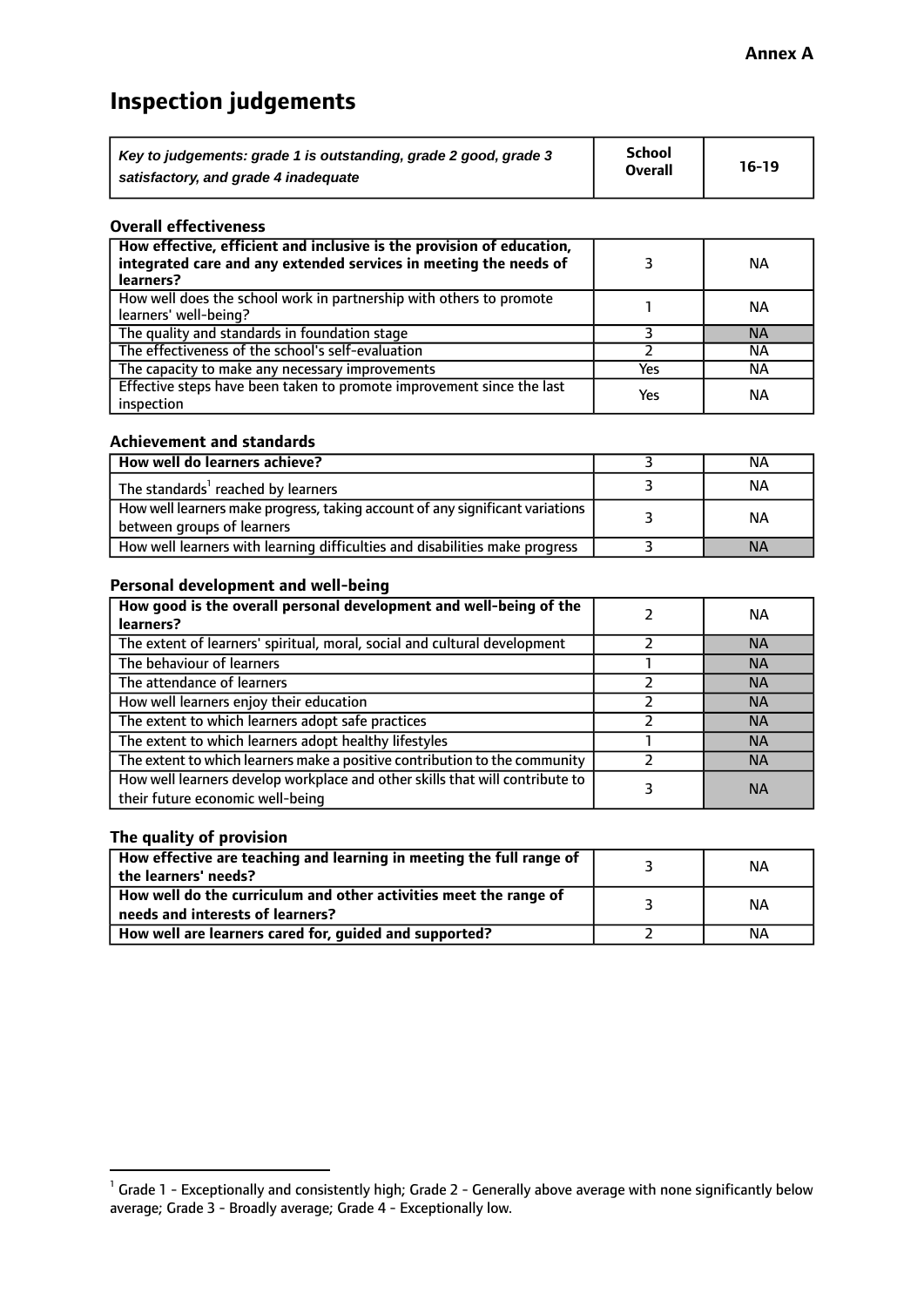# **Inspection judgements**

| Key to judgements: grade 1 is outstanding, grade 2 good, grade 3 | <b>School</b>  | $16-19$ |
|------------------------------------------------------------------|----------------|---------|
| satisfactory, and grade 4 inadequate                             | <b>Overall</b> |         |

#### **Overall effectiveness**

| How effective, efficient and inclusive is the provision of education,<br>integrated care and any extended services in meeting the needs of<br>learners? |     | <b>NA</b> |
|---------------------------------------------------------------------------------------------------------------------------------------------------------|-----|-----------|
| How well does the school work in partnership with others to promote<br>learners' well-being?                                                            |     | ΝA        |
| The quality and standards in foundation stage                                                                                                           |     | <b>NA</b> |
| The effectiveness of the school's self-evaluation                                                                                                       |     | ΝA        |
| The capacity to make any necessary improvements                                                                                                         | Yes | NА        |
| Effective steps have been taken to promote improvement since the last<br>inspection                                                                     | Yes | <b>NA</b> |

#### **Achievement and standards**

| How well do learners achieve?                                                                               | ΝA        |
|-------------------------------------------------------------------------------------------------------------|-----------|
| The standards <sup>1</sup> reached by learners                                                              | ΝA        |
| How well learners make progress, taking account of any significant variations<br>between groups of learners | <b>NA</b> |
| How well learners with learning difficulties and disabilities make progress                                 | <b>NA</b> |

#### **Personal development and well-being**

| How good is the overall personal development and well-being of the<br>learners?                                  | ΝA        |
|------------------------------------------------------------------------------------------------------------------|-----------|
| The extent of learners' spiritual, moral, social and cultural development                                        | <b>NA</b> |
| The behaviour of learners                                                                                        | <b>NA</b> |
| The attendance of learners                                                                                       | <b>NA</b> |
| How well learners enjoy their education                                                                          | <b>NA</b> |
| The extent to which learners adopt safe practices                                                                | <b>NA</b> |
| The extent to which learners adopt healthy lifestyles                                                            | <b>NA</b> |
| The extent to which learners make a positive contribution to the community                                       | <b>NA</b> |
| How well learners develop workplace and other skills that will contribute to<br>their future economic well-being | <b>NA</b> |

#### **The quality of provision**

| How effective are teaching and learning in meeting the full range of<br>the learners' needs?          | ΝA |
|-------------------------------------------------------------------------------------------------------|----|
| How well do the curriculum and other activities meet the range of<br>needs and interests of learners? | ΝA |
| How well are learners cared for, guided and supported?                                                | NА |

 $^1$  Grade 1 - Exceptionally and consistently high; Grade 2 - Generally above average with none significantly below average; Grade 3 - Broadly average; Grade 4 - Exceptionally low.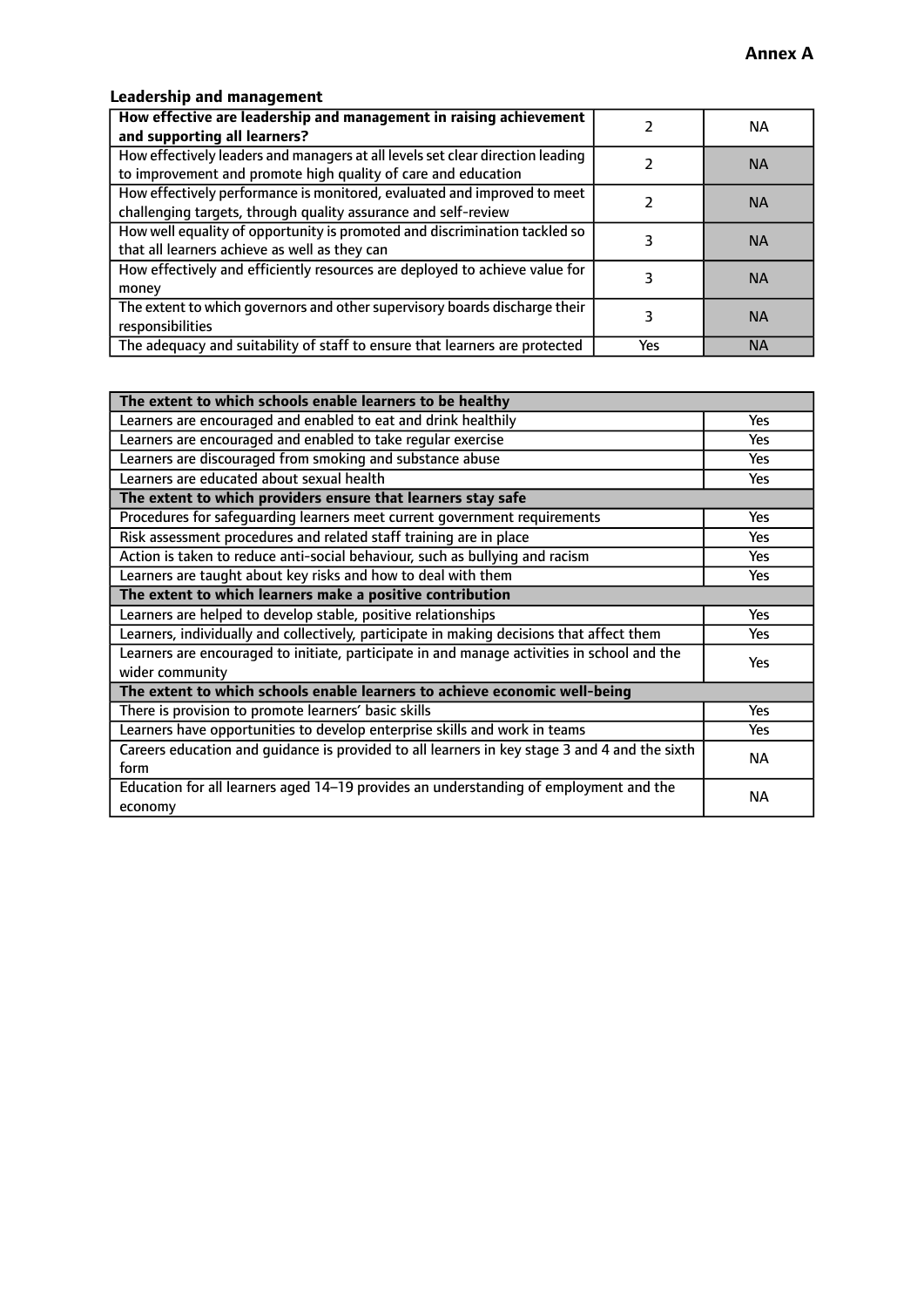#### **Leadership and management**

| How effective are leadership and management in raising achievement<br>and supporting all learners?                                              |     | NA.       |
|-------------------------------------------------------------------------------------------------------------------------------------------------|-----|-----------|
| How effectively leaders and managers at all levels set clear direction leading<br>to improvement and promote high quality of care and education |     | <b>NA</b> |
| How effectively performance is monitored, evaluated and improved to meet<br>challenging targets, through quality assurance and self-review      |     | <b>NA</b> |
| How well equality of opportunity is promoted and discrimination tackled so<br>that all learners achieve as well as they can                     |     | <b>NA</b> |
| How effectively and efficiently resources are deployed to achieve value for<br>money                                                            |     | <b>NA</b> |
| The extent to which governors and other supervisory boards discharge their<br>responsibilities                                                  |     | <b>NA</b> |
| The adequacy and suitability of staff to ensure that learners are protected                                                                     | Yes | <b>NA</b> |

| The extent to which schools enable learners to be healthy                                     |            |  |
|-----------------------------------------------------------------------------------------------|------------|--|
| Learners are encouraged and enabled to eat and drink healthily                                | <b>Yes</b> |  |
| Learners are encouraged and enabled to take regular exercise                                  | Yes        |  |
| Learners are discouraged from smoking and substance abuse                                     | <b>Yes</b> |  |
| Learners are educated about sexual health                                                     | Yes        |  |
| The extent to which providers ensure that learners stay safe                                  |            |  |
| Procedures for safequarding learners meet current government requirements                     | Yes        |  |
| Risk assessment procedures and related staff training are in place                            | Yes        |  |
| Action is taken to reduce anti-social behaviour, such as bullying and racism                  | Yes        |  |
| Learners are taught about key risks and how to deal with them                                 | <b>Yes</b> |  |
| The extent to which learners make a positive contribution                                     |            |  |
| Learners are helped to develop stable, positive relationships                                 | Yes        |  |
| Learners, individually and collectively, participate in making decisions that affect them     |            |  |
| Learners are encouraged to initiate, participate in and manage activities in school and the   | <b>Yes</b> |  |
| wider community                                                                               |            |  |
| The extent to which schools enable learners to achieve economic well-being                    |            |  |
| There is provision to promote learners' basic skills                                          | Yes        |  |
| Learners have opportunities to develop enterprise skills and work in teams                    | <b>Yes</b> |  |
| Careers education and guidance is provided to all learners in key stage 3 and 4 and the sixth | <b>NA</b>  |  |
| form                                                                                          |            |  |
| Education for all learners aged 14-19 provides an understanding of employment and the         | NА         |  |
| economy                                                                                       |            |  |